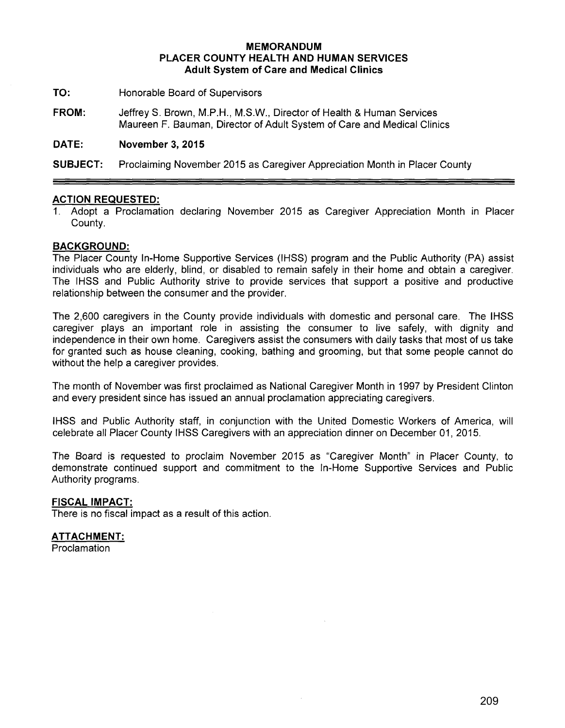### **MEMORANDUM PLACER COUNTY HEALTH AND HUMAN SERVICES Adult System of Care and Medical Clinics**

- **TO:** Honorable Board of Supervisors
- **FROM:** JeffreyS. Brown, M.P.H., M.S.W., Director of Health & Human Services Maureen F. Bauman, Director of Adult System of Care and Medical Clinics

## **DATE: November 3, 2015**

**SUBJECT:** Proclaiming November 2015 as Caregiver Appreciation Month in Placer County

#### **ACTION REQUESTED:**

1. Adopt a Proclamation declaring November 2015 as Caregiver Appreciation Month in Placer County.

#### **BACKGROUND:**

The Placer County In-Home Supportive Services (IHSS) program and the Public Authority (PA) assist individuals who are elderly, blind, or disabled to remain safely in their home and obtain a caregiver. The IHSS and Public Authority strive to provide services that support a positive and productive relationship between the consumer and the provider.

The 2,600 caregivers in the County provide individuals with domestic and personal care. The IHSS caregiver plays an important role in assisting the consumer to live safely, with dignity and independence in their own home. Caregivers assist the consumers with daily tasks that most of us take for granted such as house cleaning, cooking, bathing and grooming, but that some people cannot do without the help a caregiver provides.

The month of November was first proclaimed as National Caregiver Month in 1997 by President Clinton and every president since has issued an annual proclamation appreciating caregivers.

IHSS and Public Authority staff, in conjunction with the United Domestic Workers of America, will celebrate all Placer County IHSS Caregivers with an appreciation dinner on December 01, 2015.

The Board is requested to proclaim November 2015 as "Caregiver Month" in Placer County, to demonstrate continued support and commitment to the In-Home Supportive Services and Public Authority programs.

## **FISCAL IMPACT:**

There is no fiscal impact as a result of this action.

#### **ATTACHMENT:**

**Proclamation**